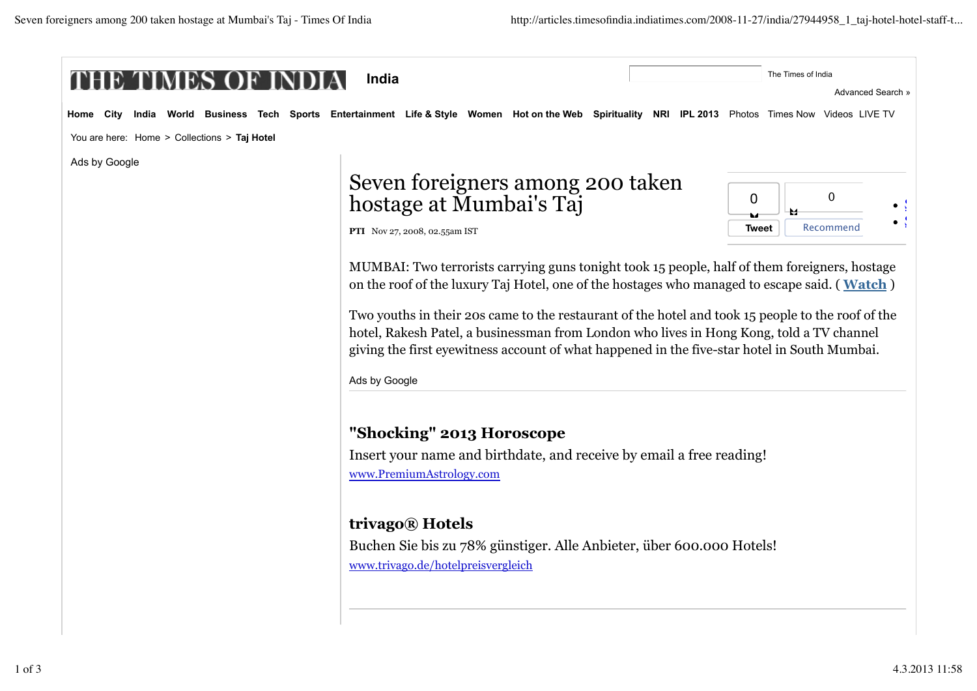| India<br>MES                                 |                                                                                                                                                                                                                                                                                                                                                                                                                                                                                                                 | The Times of India           |  |
|----------------------------------------------|-----------------------------------------------------------------------------------------------------------------------------------------------------------------------------------------------------------------------------------------------------------------------------------------------------------------------------------------------------------------------------------------------------------------------------------------------------------------------------------------------------------------|------------------------------|--|
|                                              |                                                                                                                                                                                                                                                                                                                                                                                                                                                                                                                 | Advanced Search »            |  |
| Home<br>Citv<br>India                        | World Business Tech Sports Entertainment Life & Style Women Hotonthe Web Spirituality NRI IPL 2013 Photos Times Now Videos LIVE TV                                                                                                                                                                                                                                                                                                                                                                              |                              |  |
| You are here: Home > Collections > Taj Hotel |                                                                                                                                                                                                                                                                                                                                                                                                                                                                                                                 |                              |  |
| Ads by Google                                |                                                                                                                                                                                                                                                                                                                                                                                                                                                                                                                 |                              |  |
|                                              | Seven foreigners among 200 taken<br>hostage at Mumbai's Taj                                                                                                                                                                                                                                                                                                                                                                                                                                                     | $\Omega$<br>$\mathbf 0$<br>M |  |
|                                              | PTI Nov 27, 2008, 02.55am IST                                                                                                                                                                                                                                                                                                                                                                                                                                                                                   | Recommend<br>Tweet           |  |
|                                              | MUMBAI: Two terrorists carrying guns tonight took 15 people, half of them foreigners, hostage<br>on the roof of the luxury Taj Hotel, one of the hostages who managed to escape said. (Watch)<br>Two youths in their 20s came to the restaurant of the hotel and took 15 people to the roof of the<br>hotel, Rakesh Patel, a businessman from London who lives in Hong Kong, told a TV channel<br>giving the first eyewitness account of what happened in the five-star hotel in South Mumbai.<br>Ads by Google |                              |  |
|                                              | "Shocking" 2013 Horoscope<br>Insert your name and birthdate, and receive by email a free reading!<br>www.PremiumAstrology.com                                                                                                                                                                                                                                                                                                                                                                                   |                              |  |
|                                              | trivago® Hotels                                                                                                                                                                                                                                                                                                                                                                                                                                                                                                 |                              |  |